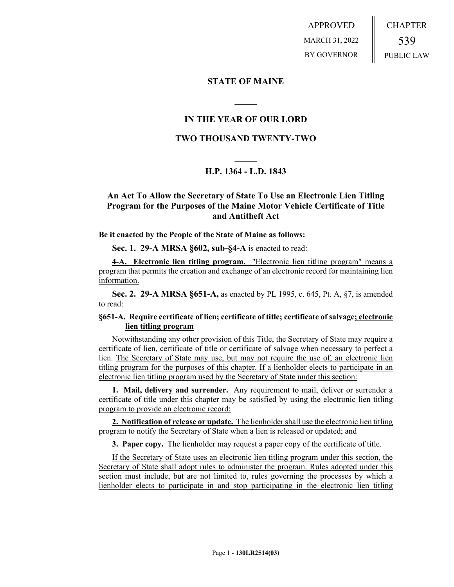APPROVED MARCH 31, 2022 BY GOVERNOR CHAPTER 539 PUBLIC LAW

## **STATE OF MAINE**

## **IN THE YEAR OF OUR LORD**

**\_\_\_\_\_**

## **TWO THOUSAND TWENTY-TWO**

# **\_\_\_\_\_ H.P. 1364 - L.D. 1843**

## **An Act To Allow the Secretary of State To Use an Electronic Lien Titling Program for the Purposes of the Maine Motor Vehicle Certificate of Title and Antitheft Act**

#### **Be it enacted by the People of the State of Maine as follows:**

**Sec. 1. 29-A MRSA §602, sub-§4-A** is enacted to read:

**4-A. Electronic lien titling program.** "Electronic lien titling program" means a program that permits the creation and exchange of an electronic record for maintaining lien information.

**Sec. 2. 29-A MRSA §651-A,** as enacted by PL 1995, c. 645, Pt. A, §7, is amended to read:

### **§651-A. Require certificate of lien; certificate of title; certificate of salvage; electronic lien titling program**

Notwithstanding any other provision of this Title, the Secretary of State may require a certificate of lien, certificate of title or certificate of salvage when necessary to perfect a lien. The Secretary of State may use, but may not require the use of, an electronic lien titling program for the purposes of this chapter. If a lienholder elects to participate in an electronic lien titling program used by the Secretary of State under this section:

**1. Mail, delivery and surrender.** Any requirement to mail, deliver or surrender a certificate of title under this chapter may be satisfied by using the electronic lien titling program to provide an electronic record;

**2. Notification of release or update.** The lienholder shall use the electronic lien titling program to notify the Secretary of State when a lien is released or updated; and

**3. Paper copy.** The lienholder may request a paper copy of the certificate of title.

If the Secretary of State uses an electronic lien titling program under this section, the Secretary of State shall adopt rules to administer the program. Rules adopted under this section must include, but are not limited to, rules governing the processes by which a lienholder elects to participate in and stop participating in the electronic lien titling